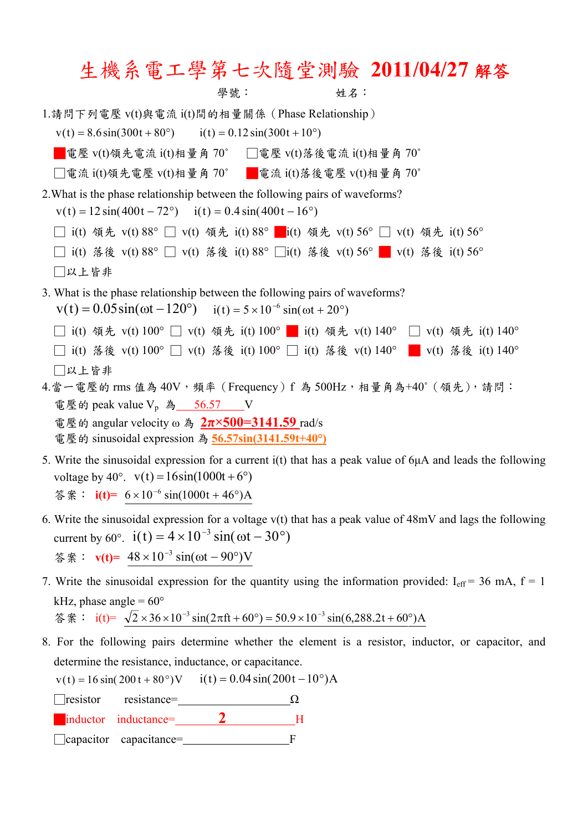## 生機系電工學第七次隨堂測驗 **2011/04/27** 解答

學號: 姓名: 1.請問下列電壓 v(t)與電流 i(t)間的相量關係(Phase Relationship)  $v(t) = 8.6 \sin(300t + 80^\circ)$  i(t) = 0.12 sin(300t + 10°) ■電壓 v(t)領先電流 i(t)相量角 70° □ □電壓 v(t)落後電流 i(t)相量角 70°  $□$ 電流 i(t)領先電壓 v(t)相量角 70° ■電流 i(t)落後電壓 v(t)相量角 70° 2.What is the phase relationship between the following pairs of waveforms?  $v(t) = 12 \sin(400t - 72^{\circ})$   $i(t) = 0.4 \sin(400t - 16^{\circ})$ □ i(t) 領先 v(t) 88° □ v(t) 領先 i(t) 88° ■ i(t) 領先 v(t) 56° □ v(t) 領先 i(t) 56° □ i(t) 落後 v(t) 88° □ v(t) 落後 i(t) 88° □i(t) 落後 v(t) 56° █ v(t) 落後 i(t) 56° □以上皆非 3. What is the phase relationship between the following pairs of waveforms?  $v(t) = 0.05 \sin(\omega t - 120^{\circ})$   $i(t) = 5 \times 10^{-6} \sin(\omega t + 20^{\circ})$ □ i(t) 領先 v(t) 100° □ v(t) 領先 i(t) 100° ■ i(t) 領先 v(t) 140° □ v(t) 領先 i(t) 140° □ i(t) 落後 v(t) 100° □ v(t) 落後 i(t) 100° □ i(t) 落後 v(t) 140° ■ v(t) 落後 i(t) 140° □以上皆非  $4.\n$ 當一電壓的 rms 值為  $40V$ , 頻率 (Frequency) f 為  $500Hz$ , 相量角為+ $40^\circ$  (領先), 請問: 電壓的 peak value  $V_p$ 為 56.57 V 電壓的 angular velocity ω 為 **2π×500=3141.59** rad/s 電壓的 sinusoidal expression 為 **56.57sin(3141.59t+40°)** 5. Write the sinusoidal expression for a current i(t) that has a peak value of 6μA and leads the following

- voltage by 40°.  $v(t) = 16\sin(1000t + 6°)$ 答案:  $i(t) = 6 \times 10^{-6} \sin(1000t + 46^{\circ})$ A
- 6. Write the sinusoidal expression for a voltage v(t) that has a peak value of 48mV and lags the following current by 60°.  $i(t) = 4 \times 10^{-3} \sin(\omega t - 30^{\circ})$ 答案:  $v(t) = 48 \times 10^{-3} \sin(\omega t - 90^{\circ})$  V
- 7. Write the sinusoidal expression for the quantity using the information provided:  $I_{eff} = 36$  mA,  $f = 1$ kHz, phase angle =  $60^{\circ}$ 答案:  $i(t) = \sqrt{2} \times 36 \times 10^{-3} \sin(2\pi ft + 60^\circ) = 50.9 \times 10^{-3} \sin(6,288.2t + 60^\circ)$ A
- 8. For the following pairs determine whether the element is a resistor, inductor, or capacitor, and determine the resistance, inductance, or capacitance.

 $v(t) = 16 \sin(200 t + 80^\circ) V$  i(t) = 0.04 sin(200t - 10°)A

 $\Box$ resistor resistance=  $\Omega$ **a**inductor inductance=**12** H

□capacitor capacitance= F